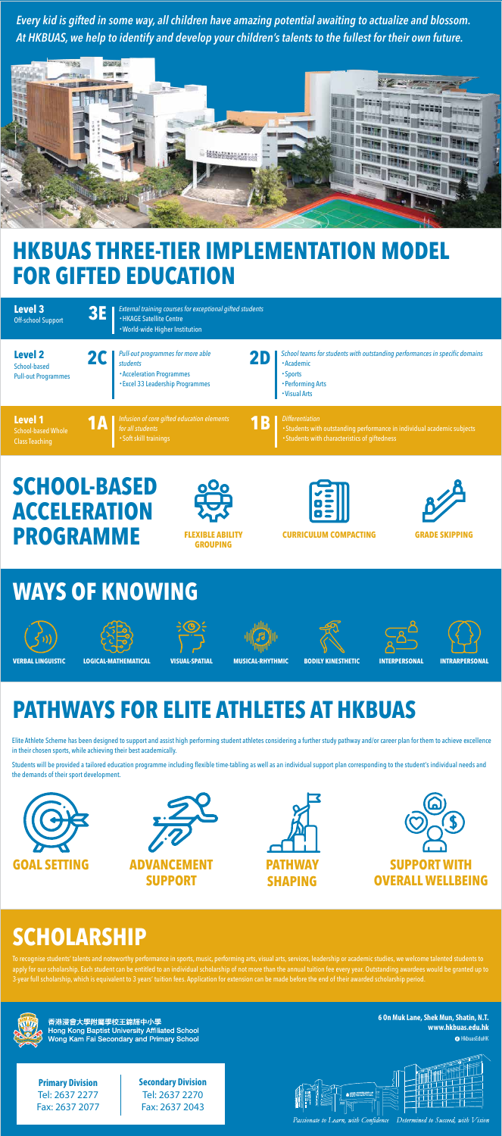#### **WAYS OF KNOWING**

#### **HKBUAS THREE-TIER IMPLEMENTATION MODEL FOR GIFTED EDUCATION**

### **SCHOOL-BASED ACCELERATION PROGRAMME**



## **PATHWAYS FOR ELITE ATHLETES AT HKBUAS**

### **SCHOLARSHIP**















**FLEXIBLE ABILITY GROUPING**







**CURRICULUM COMPACTING GRADE SKIPPING**

Elite Athlete Scheme has been designed to support and assist high performing student athletes considering a further study pathway and/or career plan for them to achieve excellence in their chosen sports, while achieving their best academically.

Students will be provided a tailored education programme including flexible time-tabling as well as an individual support plan corresponding to the student's individual needs and the demands of their sport development.

> **O** HkbuasEduHK **6 On Muk Lane, Shek Mun, Shatin, N.T. www.hkbuas.edu.hk**

*Every kid is gifted in some way, all children have amazing potential awaiting to actualize and blossom. At HKBUAS, we help to identify and develop your children's talents to the fullest for their own future.* 



To recognise students' talents and noteworthy performance in sports, music, performing arts, visual arts, services, leadership or academic studies, we welcome talented students to apply for our scholarship. Each student can be entitled to an individual scholarship of not more than the annual tuition fee every year. Outstanding awardees would be granted up to 3-year full scholarship, which is equivalent to 3 years' tuition fees. Application for extension can be made before the end of their awarded scholarship period.



香港浸會大學附屬學校王錦輝中小學 **Hong Kong Baptist University Affiliated School** Wong Kam Fai Secondary and Primary School

**Primary Division** Tel: 2637 2277 Fax: 2637 2077 **Secondary Division** Tel: 2637 2270 Fax: 2637 2043

Passionate to Learn, with Confidence Determined to Succeed, with Vision

| <b>Level 3</b><br><b>Off-school Support</b>                          | External training courses for exceptional gifted students<br><b>BET</b><br>• HKAGE Satellite Centre<br>• World-wide Higher Institution                                                                                                                                           |  |
|----------------------------------------------------------------------|----------------------------------------------------------------------------------------------------------------------------------------------------------------------------------------------------------------------------------------------------------------------------------|--|
| <b>Level 2</b><br>School-based<br><b>Pull-out Programmes</b>         | School teams for students with outstanding performances in specific domains<br>Pull-out programmes for more able<br>20<br><b>·Academic</b><br>students<br><b>.</b> Acceleration Programmes<br>• Sports<br>• Excel 33 Leadership Programmes<br>• Performing Arts<br>• Visual Arts |  |
| <b>Level 1</b><br><b>School-based Whole</b><br><b>Class Teaching</b> | Infusion of core gifted education elements<br><b>Differentiation</b><br>YB<br>VA<br>• Students with outstanding performance in individual academic subjects<br>for all students<br>• Students with characteristics of giftedness<br>• Soft skill trainings                       |  |